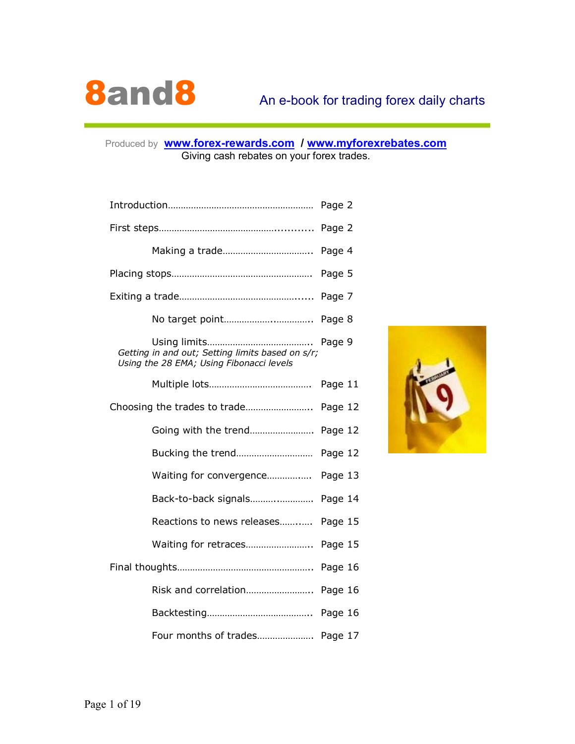

### Produced by **www.forex-rewards.com / www.myforexrebates.com** Giving cash rebates on your forex trades.

| Getting in and out; Setting limits based on s/r;<br>Using the 28 EMA; Using Fibonacci levels | Page 9  |
|----------------------------------------------------------------------------------------------|---------|
|                                                                                              | Page 11 |
|                                                                                              | Page 12 |
|                                                                                              |         |
|                                                                                              | Page 12 |
| Waiting for convergence                                                                      | Page 13 |
|                                                                                              |         |
| Reactions to news releases                                                                   | Page 15 |
| Waiting for retraces                                                                         | Page 15 |
|                                                                                              | Page 16 |
| Risk and correlation                                                                         | Page 16 |
|                                                                                              |         |
| Four months of trades Page 17                                                                |         |

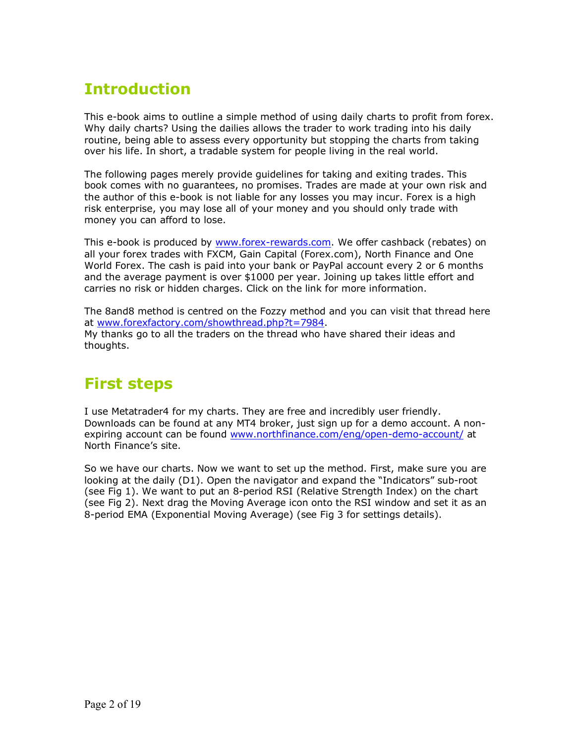# **Introduction**

This e-book aims to outline a simple method of using daily charts to profit from forex. Why daily charts? Using the dailies allows the trader to work trading into his daily routine, being able to assess every opportunity but stopping the charts from taking over his life. In short, a tradable system for people living in the real world.

The following pages merely provide guidelines for taking and exiting trades. This book comes with no guarantees, no promises. Trades are made at your own risk and the author of this e-book is not liable for any losses you may incur. Forex is a high risk enterprise, you may lose all of your money and you should only trade with money you can afford to lose.

This e-book is produced by www.forex-rewards.com. We offer cashback (rebates) on all your forex trades with FXCM, Gain Capital (Forex.com), North Finance and One World Forex. The cash is paid into your bank or PayPal account every 2 or 6 months and the average payment is over \$1000 per year. Joining up takes little effort and carries no risk or hidden charges. Click on the link for more information.

The 8and8 method is centred on the Fozzy method and you can visit that thread here at www.forexfactory.com/showthread.php?t=7984. My thanks go to all the traders on the thread who have shared their ideas and thoughts.

# **First steps**

I use Metatrader4 for my charts. They are free and incredibly user friendly. Downloads can be found at any MT4 broker, just sign up for a demo account. A nonexpiring account can be found www.northfinance.com/eng/open-demo-account/ at North Finance's site.

So we have our charts. Now we want to set up the method. First, make sure you are looking at the daily (D1). Open the navigator and expand the "Indicators" sub-root (see Fig 1). We want to put an 8-period RSI (Relative Strength Index) on the chart (see Fig 2). Next drag the Moving Average icon onto the RSI window and set it as an 8-period EMA (Exponential Moving Average) (see Fig 3 for settings details).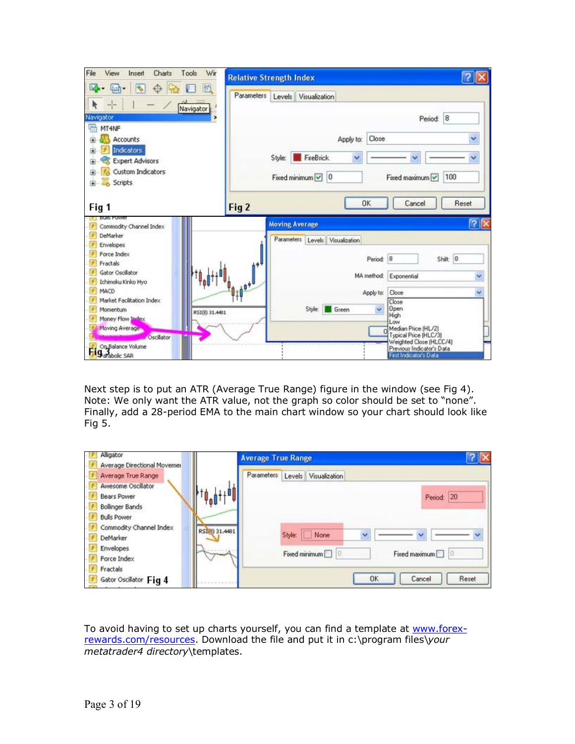| File<br>View<br>Wir<br>Insert<br>Charts<br>Tools                                              | <b>Relative Strength Index</b> |                       |                                  |            |                                                                                                                                |                          |
|-----------------------------------------------------------------------------------------------|--------------------------------|-----------------------|----------------------------------|------------|--------------------------------------------------------------------------------------------------------------------------------|--------------------------|
| 固<br>ш<br>Ŷo.<br>ĸ                                                                            | Parameters                     |                       | Levels Visualization             |            |                                                                                                                                |                          |
| Navigator<br>Navigator                                                                        | ,                              |                       |                                  |            | Period: 8                                                                                                                      |                          |
| 码<br>MT4NF<br>Accounts                                                                        |                                |                       | Apply to:                        | Close      |                                                                                                                                | Y                        |
| <b>Indicators</b><br><b>Expert Advisors</b>                                                   |                                | Style:                | <b>FireBrick</b><br>v            |            |                                                                                                                                |                          |
| Custom Indicators<br>Scripts<br>马                                                             |                                |                       | Fixed minimum $\boxed{\smile}$ 0 |            | 100<br>Fixed maximum V                                                                                                         |                          |
| Fig 1                                                                                         | Fig 2                          |                       |                                  | OK         | Cancel                                                                                                                         | Reset                    |
| DUID PUWEI<br>Commodity Channel Index<br>DeMarker<br>Envelopes                                |                                | <b>Moving Average</b> | Parameters Levels Visualization  |            |                                                                                                                                | $\overline{\phantom{a}}$ |
| Force Index<br>Fractals                                                                       | . ó                            |                       |                                  | Period: 8  | Shift: 0                                                                                                                       |                          |
| Gator Oscillator<br>Ichimoku Kinko Hyo                                                        |                                |                       |                                  | MA method: | Exponential                                                                                                                    |                          |
| <b>MACD</b><br>Market Facilitation Index                                                      |                                |                       |                                  | Apply to:  | Close<br>Close                                                                                                                 |                          |
| Momentum<br>RSI(8) 31.4481<br>Money Flow Index                                                |                                |                       | Style:<br>Green                  | v          | <b>Open</b><br>High<br>Low                                                                                                     |                          |
| Moving Average<br><b>Oscilator</b><br>On Balance Volume<br><b>H</b> g <sub>arabolic</sub> SAR |                                |                       |                                  |            | Median Price (HL/2)<br>Typical Price [HLC/3]<br>Weighted Close (HLCC/4)<br>Previous Indicator's Data<br>First Indicator's Data |                          |

Next step is to put an ATR (Average True Range) figure in the window (see Fig 4). Note: We only want the ATR value, not the graph so color should be set to "none". Finally, add a 28-period EMA to the main chart window so your chart should look like Fig 5.

| Alligator                   |              | <b>Average True Range</b> |             |                      |    |                      |       |
|-----------------------------|--------------|---------------------------|-------------|----------------------|----|----------------------|-------|
| Average Directional Movemer |              |                           |             |                      |    |                      |       |
| Average True Range          |              | Parameters                |             | Levels Visualization |    |                      |       |
| Awesome Oscillator          |              |                           |             |                      |    |                      |       |
| <b>Bears Power</b>          |              |                           |             |                      |    | Period: 20           |       |
| Bollinger Bands             |              |                           |             |                      |    |                      |       |
| <b>Bulls Power</b>          |              |                           |             |                      |    |                      |       |
| Commodity Channel Index     | RSI@ 31.4481 |                           |             |                      |    |                      |       |
| <b>DeMarker</b>             |              |                           | Style: None |                      | v  |                      |       |
| Envelopes                   |              |                           |             |                      |    |                      |       |
| Force Index                 |              |                           |             | Fixed minimum        |    | Fixed maximum<br>110 |       |
| Fractals                    |              |                           |             |                      |    |                      |       |
| Gator Oscillator Fig 4      |              |                           |             |                      | OK | Cancel               | Reset |

To avoid having to set up charts yourself, you can find a template at www.forexrewards.com/resources. Download the file and put it in c:\program files\*your metatrader4 directory*\templates.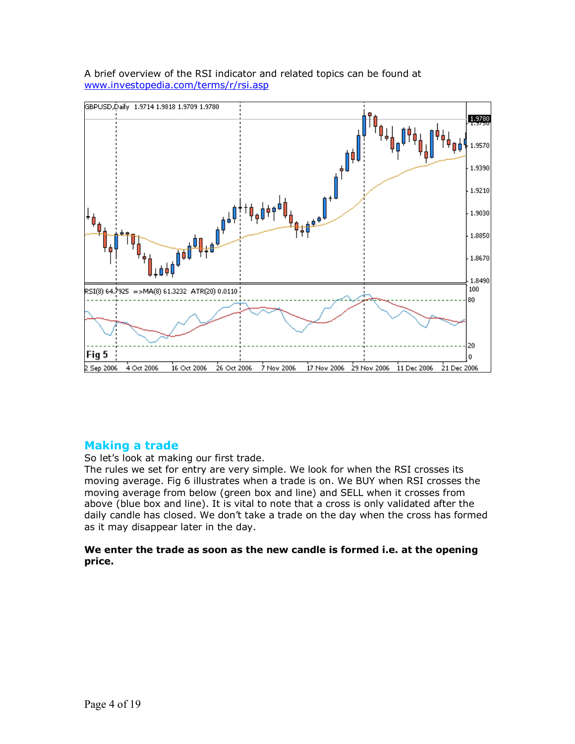

A brief overview of the RSI indicator and related topics can be found at www.investopedia.com/terms/r/rsi.asp

# **Making a trade**

So let's look at making our first trade.

The rules we set for entry are very simple. We look for when the RSI crosses its moving average. Fig 6 illustrates when a trade is on. We BUY when RSI crosses the moving average from below (green box and line) and SELL when it crosses from above (blue box and line). It is vital to note that a cross is only validated after the daily candle has closed. We don't take a trade on the day when the cross has formed as it may disappear later in the day.

**We enter the trade as soon as the new candle is formed i.e. at the opening price.**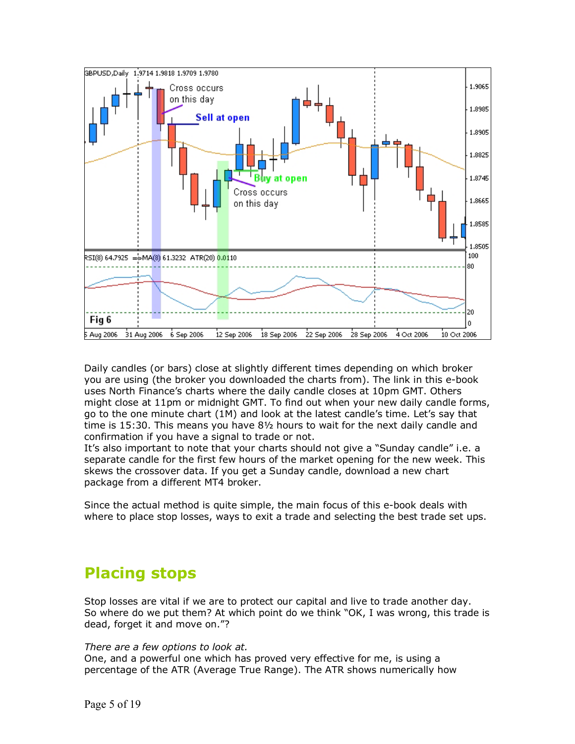

Daily candles (or bars) close at slightly different times depending on which broker you are using (the broker you downloaded the charts from). The link in this e-book uses North Finance's charts where the daily candle closes at 10pm GMT. Others might close at 11pm or midnight GMT. To find out when your new daily candle forms, go to the one minute chart (1M) and look at the latest candle's time. Let's say that time is 15:30. This means you have 8½ hours to wait for the next daily candle and confirmation if you have a signal to trade or not.

It's also important to note that your charts should not give a "Sunday candle" i.e. a separate candle for the first few hours of the market opening for the new week. This skews the crossover data. If you get a Sunday candle, download a new chart package from a different MT4 broker.

Since the actual method is quite simple, the main focus of this e-book deals with where to place stop losses, ways to exit a trade and selecting the best trade set ups.

# **Placing stops**

Stop losses are vital if we are to protect our capital and live to trade another day. So where do we put them? At which point do we think "OK, I was wrong, this trade is dead, forget it and move on."?

#### *There are a few options to look at.*

One, and a powerful one which has proved very effective for me, is using a percentage of the ATR (Average True Range). The ATR shows numerically how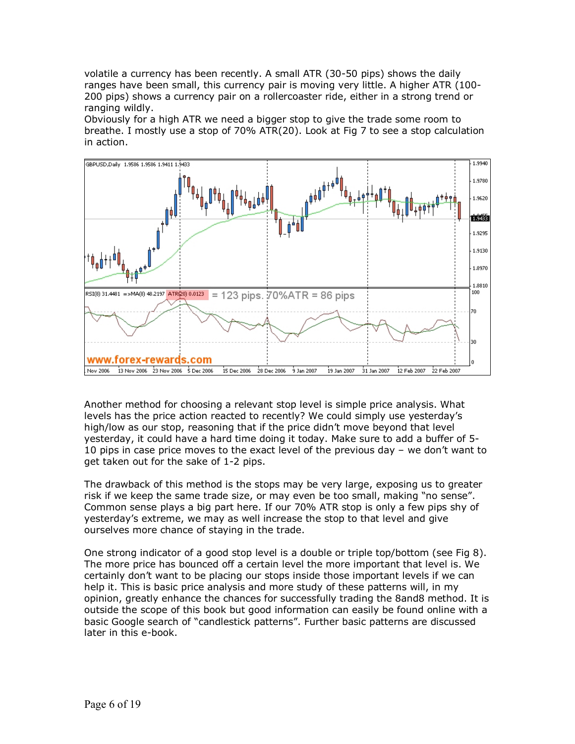volatile a currency has been recently. A small ATR (30-50 pips) shows the daily ranges have been small, this currency pair is moving very little. A higher ATR (100- 200 pips) shows a currency pair on a rollercoaster ride, either in a strong trend or ranging wildly.

Obviously for a high ATR we need a bigger stop to give the trade some room to breathe. I mostly use a stop of 70% ATR(20). Look at Fig 7 to see a stop calculation in action.



Another method for choosing a relevant stop level is simple price analysis. What levels has the price action reacted to recently? We could simply use yesterday's high/low as our stop, reasoning that if the price didn't move beyond that level yesterday, it could have a hard time doing it today. Make sure to add a buffer of 5- 10 pips in case price moves to the exact level of the previous day – we don't want to get taken out for the sake of 1-2 pips.

The drawback of this method is the stops may be very large, exposing us to greater risk if we keep the same trade size, or may even be too small, making "no sense". Common sense plays a big part here. If our 70% ATR stop is only a few pips shy of yesterday's extreme, we may as well increase the stop to that level and give ourselves more chance of staying in the trade.

One strong indicator of a good stop level is a double or triple top/bottom (see Fig 8). The more price has bounced off a certain level the more important that level is. We certainly don't want to be placing our stops inside those important levels if we can help it. This is basic price analysis and more study of these patterns will, in my opinion, greatly enhance the chances for successfully trading the 8and8 method. It is outside the scope of this book but good information can easily be found online with a basic Google search of "candlestick patterns". Further basic patterns are discussed later in this e-book.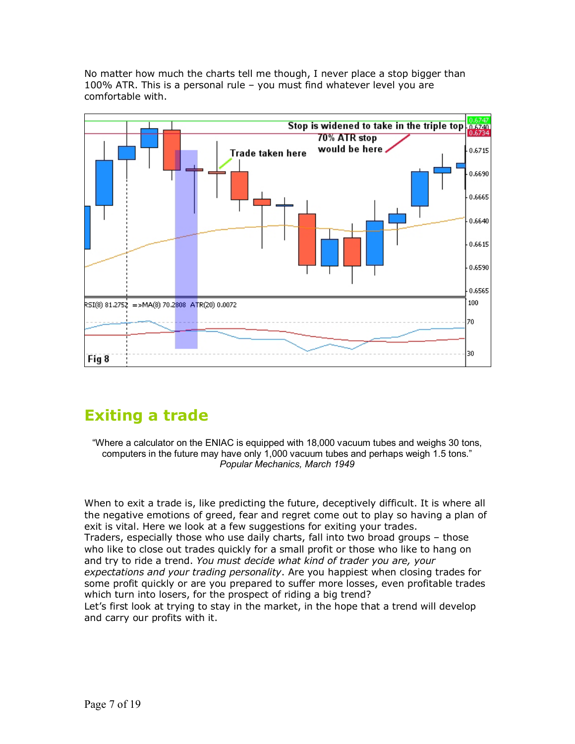No matter how much the charts tell me though, I never place a stop bigger than 100% ATR. This is a personal rule – you must find whatever level you are comfortable with.



# **Exiting a trade**

"Where a calculator on the ENIAC is equipped with 18,000 vacuum tubes and weighs 30 tons, computers in the future may have only 1,000 vacuum tubes and perhaps weigh 1.5 tons." *Popular Mechanics, March 1949* 

When to exit a trade is, like predicting the future, deceptively difficult. It is where all the negative emotions of greed, fear and regret come out to play so having a plan of exit is vital. Here we look at a few suggestions for exiting your trades. Traders, especially those who use daily charts, fall into two broad groups – those who like to close out trades quickly for a small profit or those who like to hang on and try to ride a trend. *You must decide what kind of trader you are, your expectations and your trading personality*. Are you happiest when closing trades for some profit quickly or are you prepared to suffer more losses, even profitable trades which turn into losers, for the prospect of riding a big trend? Let's first look at trying to stay in the market, in the hope that a trend will develop and carry our profits with it.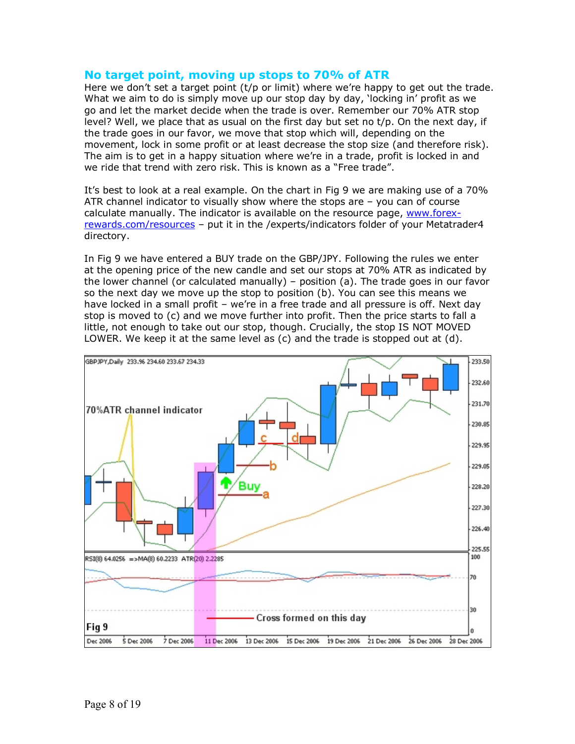### **No target point, moving up stops to 70% of ATR**

Here we don't set a target point (t/p or limit) where we're happy to get out the trade. What we aim to do is simply move up our stop day by day, 'locking in' profit as we go and let the market decide when the trade is over. Remember our 70% ATR stop level? Well, we place that as usual on the first day but set no t/p. On the next day, if the trade goes in our favor, we move that stop which will, depending on the movement, lock in some profit or at least decrease the stop size (and therefore risk). The aim is to get in a happy situation where we're in a trade, profit is locked in and we ride that trend with zero risk. This is known as a "Free trade".

It's best to look at a real example. On the chart in Fig 9 we are making use of a 70% ATR channel indicator to visually show where the stops are – you can of course calculate manually. The indicator is available on the resource page, www.forexrewards.com/resources – put it in the /experts/indicators folder of your Metatrader4 directory.

In Fig 9 we have entered a BUY trade on the GBP/JPY. Following the rules we enter at the opening price of the new candle and set our stops at 70% ATR as indicated by the lower channel (or calculated manually) – position (a). The trade goes in our favor so the next day we move up the stop to position (b). You can see this means we have locked in a small profit – we're in a free trade and all pressure is off. Next day stop is moved to (c) and we move further into profit. Then the price starts to fall a little, not enough to take out our stop, though. Crucially, the stop IS NOT MOVED LOWER. We keep it at the same level as (c) and the trade is stopped out at (d).

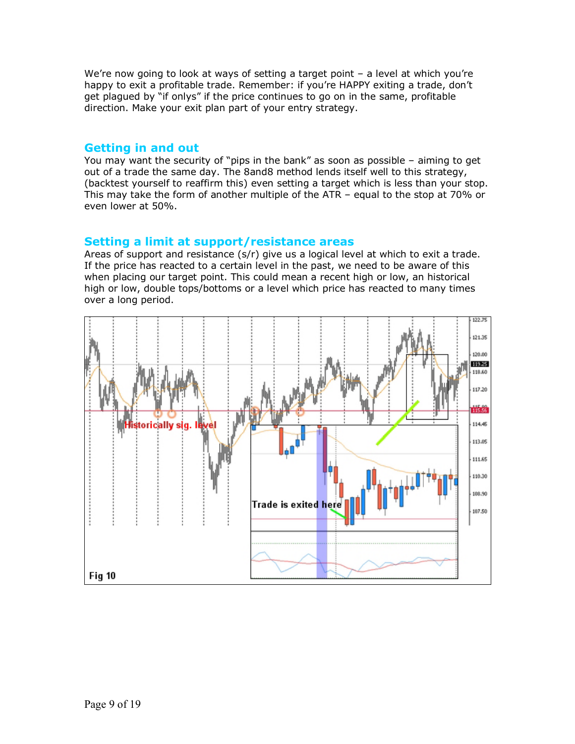We're now going to look at ways of setting a target point - a level at which you're happy to exit a profitable trade. Remember: if you're HAPPY exiting a trade, don't get plagued by "if onlys" if the price continues to go on in the same, profitable direction. Make your exit plan part of your entry strategy.

### **Getting in and out**

You may want the security of "pips in the bank" as soon as possible – aiming to get out of a trade the same day. The 8and8 method lends itself well to this strategy, (backtest yourself to reaffirm this) even setting a target which is less than your stop. This may take the form of another multiple of the ATR – equal to the stop at 70% or even lower at 50%.

### **Setting a limit at support/resistance areas**

Areas of support and resistance (s/r) give us a logical level at which to exit a trade. If the price has reacted to a certain level in the past, we need to be aware of this when placing our target point. This could mean a recent high or low, an historical high or low, double tops/bottoms or a level which price has reacted to many times over a long period.

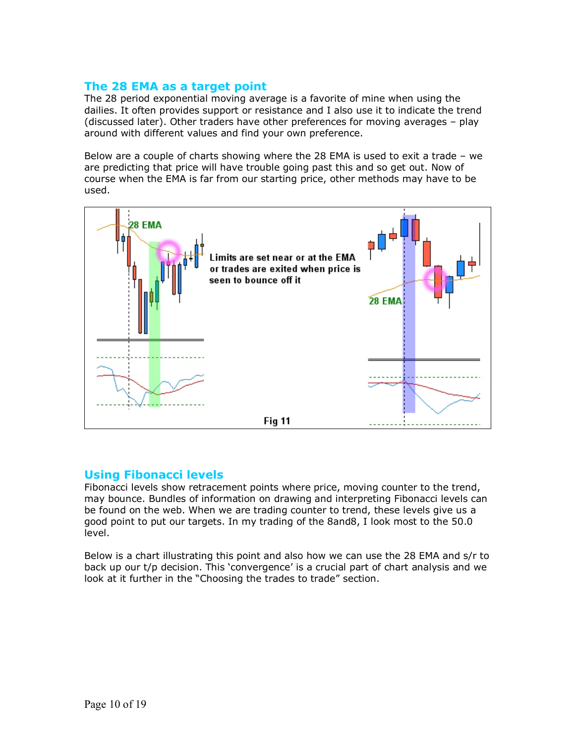### **The 28 EMA as a target point**

The 28 period exponential moving average is a favorite of mine when using the dailies. It often provides support or resistance and I also use it to indicate the trend (discussed later). Other traders have other preferences for moving averages – play around with different values and find your own preference.

Below are a couple of charts showing where the 28 EMA is used to exit a trade – we are predicting that price will have trouble going past this and so get out. Now of course when the EMA is far from our starting price, other methods may have to be used.



# **Using Fibonacci levels**

Fibonacci levels show retracement points where price, moving counter to the trend, may bounce. Bundles of information on drawing and interpreting Fibonacci levels can be found on the web. When we are trading counter to trend, these levels give us a good point to put our targets. In my trading of the 8and8, I look most to the 50.0 level.

Below is a chart illustrating this point and also how we can use the 28 EMA and s/r to back up our t/p decision. This 'convergence' is a crucial part of chart analysis and we look at it further in the "Choosing the trades to trade" section.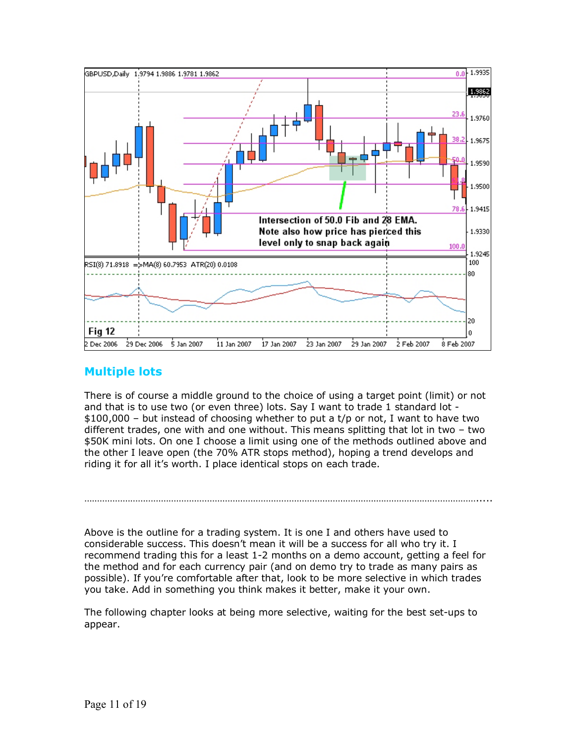

# **Multiple lots**

There is of course a middle ground to the choice of using a target point (limit) or not and that is to use two (or even three) lots. Say I want to trade 1 standard lot - \$100,000 – but instead of choosing whether to put a t/p or not, I want to have two different trades, one with and one without. This means splitting that lot in two – two \$50K mini lots. On one I choose a limit using one of the methods outlined above and the other I leave open (the 70% ATR stops method), hoping a trend develops and riding it for all it's worth. I place identical stops on each trade.

Above is the outline for a trading system. It is one I and others have used to considerable success. This doesn't mean it will be a success for all who try it. I recommend trading this for a least 1-2 months on a demo account, getting a feel for the method and for each currency pair (and on demo try to trade as many pairs as possible). If you're comfortable after that, look to be more selective in which trades you take. Add in something you think makes it better, make it your own.

……………………………………………………………………………………………………………………………………….....

The following chapter looks at being more selective, waiting for the best set-ups to appear.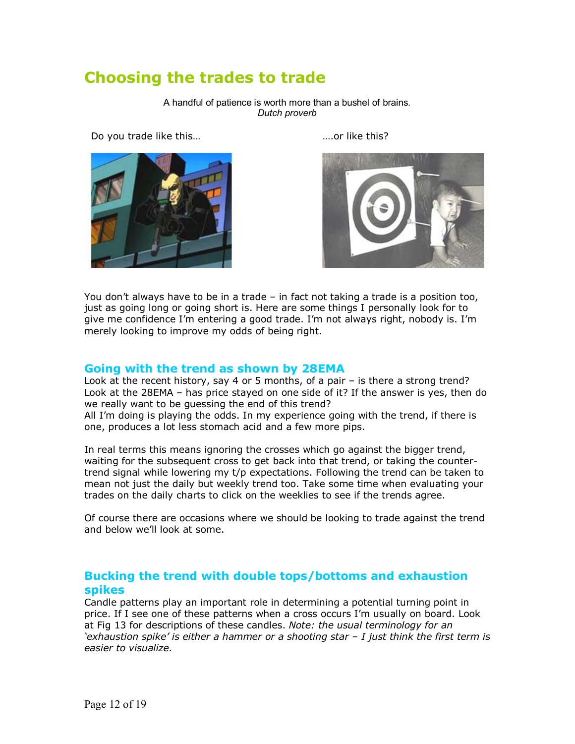# **Choosing the trades to trade**

A handful of patience is worth more than a bushel of brains. *Dutch proverb* 

Do you trade like this... https://www.community.community.community.community.com





You don't always have to be in a trade – in fact not taking a trade is a position too, just as going long or going short is. Here are some things I personally look for to give me confidence I'm entering a good trade. I'm not always right, nobody is. I'm merely looking to improve my odds of being right.

### **Going with the trend as shown by 28EMA**

Look at the recent history, say 4 or 5 months, of a pair – is there a strong trend? Look at the 28EMA – has price stayed on one side of it? If the answer is yes, then do we really want to be guessing the end of this trend?

All I'm doing is playing the odds. In my experience going with the trend, if there is one, produces a lot less stomach acid and a few more pips.

In real terms this means ignoring the crosses which go against the bigger trend, waiting for the subsequent cross to get back into that trend, or taking the countertrend signal while lowering my t/p expectations. Following the trend can be taken to mean not just the daily but weekly trend too. Take some time when evaluating your trades on the daily charts to click on the weeklies to see if the trends agree.

Of course there are occasions where we should be looking to trade against the trend and below we'll look at some.

### **Bucking the trend with double tops/bottoms and exhaustion spikes**

Candle patterns play an important role in determining a potential turning point in price. If I see one of these patterns when a cross occurs I'm usually on board. Look at Fig 13 for descriptions of these candles. *Note: the usual terminology for an 'exhaustion spike' is either a hammer or a shooting star – I just think the first term is easier to visualize.*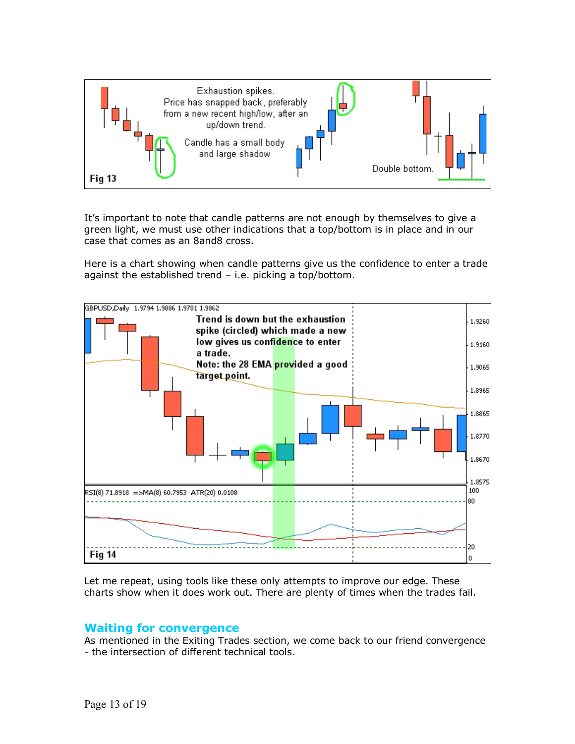

It's important to note that candle patterns are not enough by themselves to give a green light, we must use other indications that a top/bottom is in place and in our case that comes as an 8and8 cross.

Here is a chart showing when candle patterns give us the confidence to enter a trade against the established trend – i.e. picking a top/bottom.



Let me repeat, using tools like these only attempts to improve our edge. These charts show when it does work out. There are plenty of times when the trades fail.

### **Waiting for convergence**

As mentioned in the Exiting Trades section, we come back to our friend convergence - the intersection of different technical tools.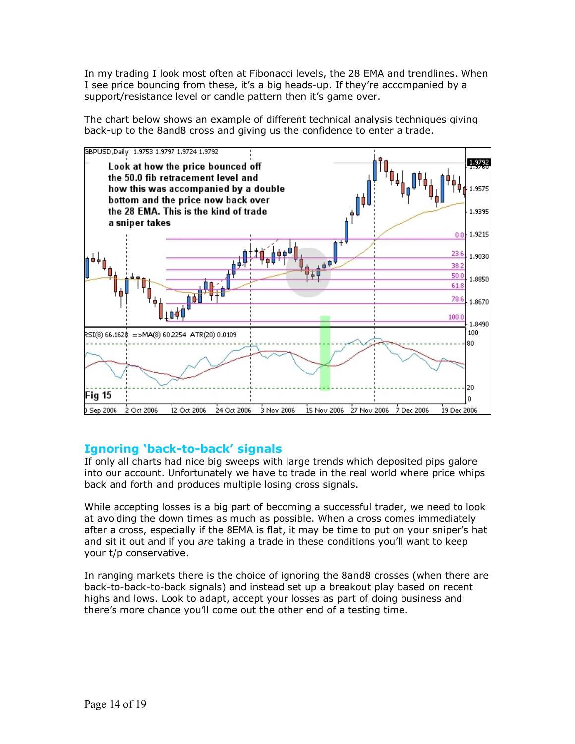In my trading I look most often at Fibonacci levels, the 28 EMA and trendlines. When I see price bouncing from these, it's a big heads-up. If they're accompanied by a support/resistance level or candle pattern then it's game over.

The chart below shows an example of different technical analysis techniques giving back-up to the 8and8 cross and giving us the confidence to enter a trade.



# **Ignoring 'back-to-back' signals**

If only all charts had nice big sweeps with large trends which deposited pips galore into our account. Unfortunately we have to trade in the real world where price whips back and forth and produces multiple losing cross signals.

While accepting losses is a big part of becoming a successful trader, we need to look at avoiding the down times as much as possible. When a cross comes immediately after a cross, especially if the 8EMA is flat, it may be time to put on your sniper's hat and sit it out and if you *are* taking a trade in these conditions you'll want to keep your t/p conservative.

In ranging markets there is the choice of ignoring the 8and8 crosses (when there are back-to-back-to-back signals) and instead set up a breakout play based on recent highs and lows. Look to adapt, accept your losses as part of doing business and there's more chance you'll come out the other end of a testing time.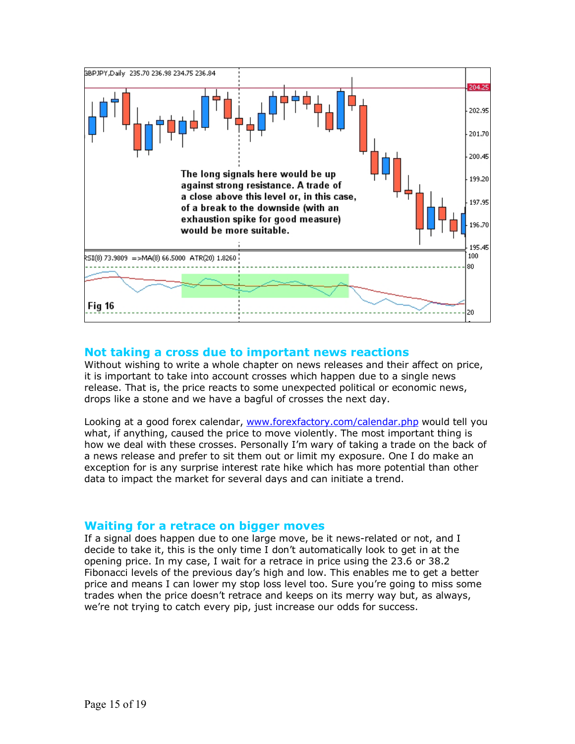

### **Not taking a cross due to important news reactions**

Without wishing to write a whole chapter on news releases and their affect on price, it is important to take into account crosses which happen due to a single news release. That is, the price reacts to some unexpected political or economic news, drops like a stone and we have a bagful of crosses the next day.

Looking at a good forex calendar, www.forexfactory.com/calendar.php would tell you what, if anything, caused the price to move violently. The most important thing is how we deal with these crosses. Personally I'm wary of taking a trade on the back of a news release and prefer to sit them out or limit my exposure. One I do make an exception for is any surprise interest rate hike which has more potential than other data to impact the market for several days and can initiate a trend.

### **Waiting for a retrace on bigger moves**

If a signal does happen due to one large move, be it news-related or not, and I decide to take it, this is the only time I don't automatically look to get in at the opening price. In my case, I wait for a retrace in price using the 23.6 or 38.2 Fibonacci levels of the previous day's high and low. This enables me to get a better price and means I can lower my stop loss level too. Sure you're going to miss some trades when the price doesn't retrace and keeps on its merry way but, as always, we're not trying to catch every pip, just increase our odds for success.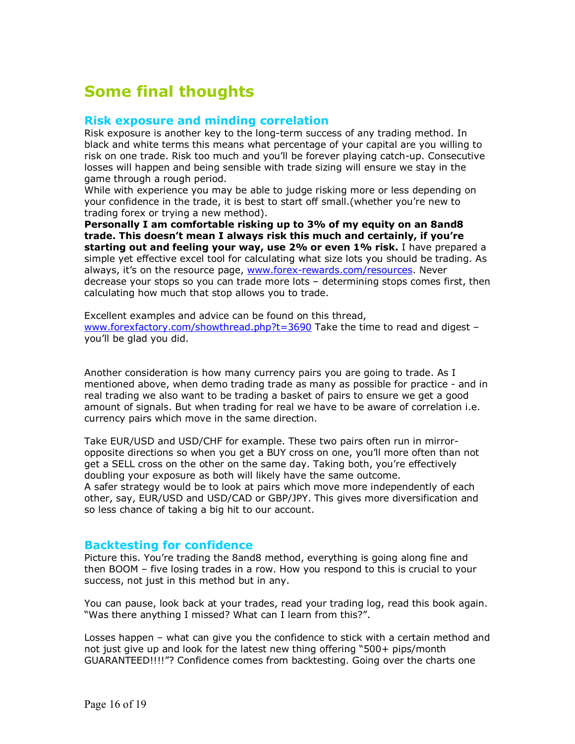# **Some final thoughts**

### **Risk exposure and minding correlation**

Risk exposure is another key to the long-term success of any trading method. In black and white terms this means what percentage of your capital are you willing to risk on one trade. Risk too much and you'll be forever playing catch-up. Consecutive losses will happen and being sensible with trade sizing will ensure we stay in the game through a rough period.

While with experience you may be able to judge risking more or less depending on your confidence in the trade, it is best to start off small.(whether you're new to trading forex or trying a new method).

**Personally I am comfortable risking up to 3% of my equity on an 8and8 trade. This doesn't mean I always risk this much and certainly, if you're starting out and feeling your way, use 2% or even 1% risk.** I have prepared a simple yet effective excel tool for calculating what size lots you should be trading. As always, it's on the resource page, www.forex-rewards.com/resources. Never decrease your stops so you can trade more lots – determining stops comes first, then calculating how much that stop allows you to trade.

Excellent examples and advice can be found on this thread, www.forexfactory.com/showthread.php?t=3690 Take the time to read and digest – you'll be glad you did.

Another consideration is how many currency pairs you are going to trade. As I mentioned above, when demo trading trade as many as possible for practice - and in real trading we also want to be trading a basket of pairs to ensure we get a good amount of signals. But when trading for real we have to be aware of correlation i.e. currency pairs which move in the same direction.

Take EUR/USD and USD/CHF for example. These two pairs often run in mirroropposite directions so when you get a BUY cross on one, you'll more often than not get a SELL cross on the other on the same day. Taking both, you're effectively doubling your exposure as both will likely have the same outcome. A safer strategy would be to look at pairs which move more independently of each other, say, EUR/USD and USD/CAD or GBP/JPY. This gives more diversification and so less chance of taking a big hit to our account.

#### **Backtesting for confidence**

Picture this. You're trading the 8and8 method, everything is going along fine and then BOOM – five losing trades in a row. How you respond to this is crucial to your success, not just in this method but in any.

You can pause, look back at your trades, read your trading log, read this book again. "Was there anything I missed? What can I learn from this?".

Losses happen – what can give you the confidence to stick with a certain method and not just give up and look for the latest new thing offering "500+ pips/month GUARANTEED!!!!"? Confidence comes from backtesting. Going over the charts one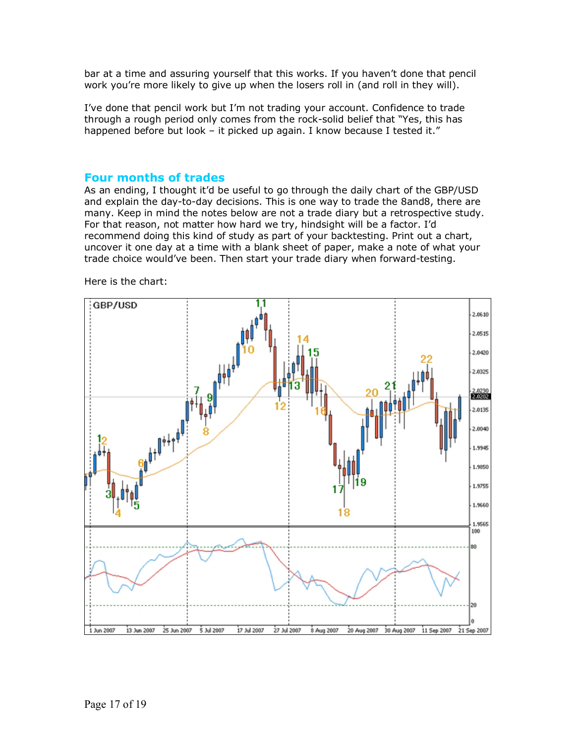bar at a time and assuring yourself that this works. If you haven't done that pencil work you're more likely to give up when the losers roll in (and roll in they will).

I've done that pencil work but I'm not trading your account. Confidence to trade through a rough period only comes from the rock-solid belief that "Yes, this has happened before but look – it picked up again. I know because I tested it."

### **Four months of trades**

As an ending, I thought it'd be useful to go through the daily chart of the GBP/USD and explain the day-to-day decisions. This is one way to trade the 8and8, there are many. Keep in mind the notes below are not a trade diary but a retrospective study. For that reason, not matter how hard we try, hindsight will be a factor. I'd recommend doing this kind of study as part of your backtesting. Print out a chart, uncover it one day at a time with a blank sheet of paper, make a note of what your trade choice would've been. Then start your trade diary when forward-testing.

Here is the chart:

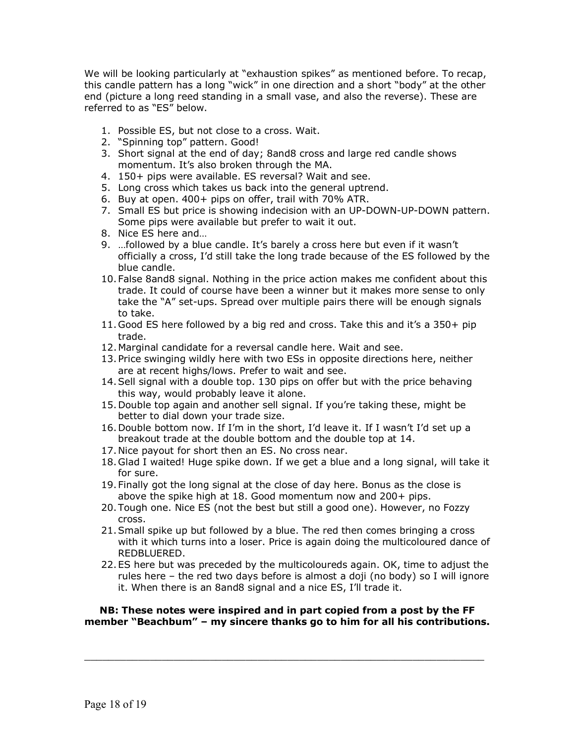We will be looking particularly at "exhaustion spikes" as mentioned before. To recap, this candle pattern has a long "wick" in one direction and a short "body" at the other end (picture a long reed standing in a small vase, and also the reverse). These are referred to as "ES" below.

- 1. Possible ES, but not close to a cross. Wait.
- 2. "Spinning top" pattern. Good!
- 3. Short signal at the end of day; 8and8 cross and large red candle shows momentum. It's also broken through the MA.
- 4. 150+ pips were available. ES reversal? Wait and see.
- 5. Long cross which takes us back into the general uptrend.
- 6. Buy at open. 400+ pips on offer, trail with 70% ATR.
- 7. Small ES but price is showing indecision with an UP-DOWN-UP-DOWN pattern. Some pips were available but prefer to wait it out.
- 8. Nice ES here and…
- 9. …followed by a blue candle. It's barely a cross here but even if it wasn't officially a cross, I'd still take the long trade because of the ES followed by the blue candle.
- 10. False 8and8 signal. Nothing in the price action makes me confident about this trade. It could of course have been a winner but it makes more sense to only take the "A" set-ups. Spread over multiple pairs there will be enough signals to take.
- 11. Good ES here followed by a big red and cross. Take this and it's a 350+ pip trade.
- 12. Marginal candidate for a reversal candle here. Wait and see.
- 13. Price swinging wildly here with two ESs in opposite directions here, neither are at recent highs/lows. Prefer to wait and see.
- 14. Sell signal with a double top. 130 pips on offer but with the price behaving this way, would probably leave it alone.
- 15. Double top again and another sell signal. If you're taking these, might be better to dial down your trade size.
- 16. Double bottom now. If I'm in the short, I'd leave it. If I wasn't I'd set up a breakout trade at the double bottom and the double top at 14.
- 17. Nice payout for short then an ES. No cross near.
- 18. Glad I waited! Huge spike down. If we get a blue and a long signal, will take it for sure.
- 19. Finally got the long signal at the close of day here. Bonus as the close is above the spike high at 18. Good momentum now and 200+ pips.
- 20. Tough one. Nice ES (not the best but still a good one). However, no Fozzy cross.
- 21. Small spike up but followed by a blue. The red then comes bringing a cross with it which turns into a loser. Price is again doing the multicoloured dance of REDBLUERED.
- 22. ES here but was preceded by the multicoloureds again. OK, time to adjust the rules here – the red two days before is almost a doji (no body) so I will ignore it. When there is an 8and8 signal and a nice ES, I'll trade it.

#### **NB: These notes were inspired and in part copied from a post by the FF member "Beachbum" – my sincere thanks go to him for all his contributions.**

\_\_\_\_\_\_\_\_\_\_\_\_\_\_\_\_\_\_\_\_\_\_\_\_\_\_\_\_\_\_\_\_\_\_\_\_\_\_\_\_\_\_\_\_\_\_\_\_\_\_\_\_\_\_\_\_\_\_\_\_\_\_\_\_\_\_\_